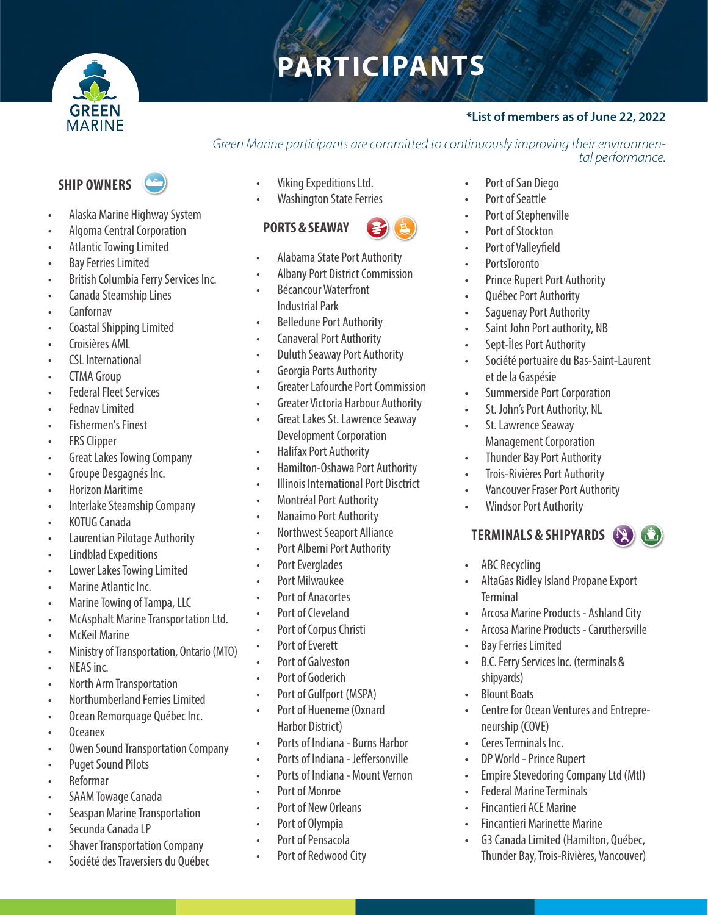

# **PARTICIPANTS**

## **\*List of members as of June 22, 2022**

#### *Green Marine participants are committed to continuously improving their environmental performance.*

## **SHIP OWNERS**



- Alaska Marine Highway System
- Algoma Central Corporation
- Atlantic Towing Limited
- Bay Ferries Limited
- British Columbia Ferry Services Inc.
- Canada Steamship Lines
- Canfornav
- Coastal Shipping Limited
- Croisières AML
- CSL International
- CTMA Group
- **Federal Fleet Services**
- Fednav Limited
- Fishermen's Finest
- **FRS Clipper**
- Great Lakes Towing Company
- Groupe Desgagnés Inc.
- Horizon Maritime
- Interlake Steamship Company
- KOTUG Canada
- Laurentian Pilotage Authority
- Lindblad Expeditions
- Lower Lakes Towing Limited
- Marine Atlantic Inc.
- Marine Towing of Tampa, LLC
- McAsphalt Marine Transportation Ltd.
- McKeil Marine
- Ministry of Transportation, Ontario (MTO)
- NEAS inc.
- North Arm Transportation
- Northumberland Ferries Limited
- Ocean Remorquage Québec Inc.
- Oceanex
- Owen Sound Transportation Company
- Puget Sound Pilots
- Reformar
- SAAM Towage Canada
- Seaspan Marine Transportation
- Secunda Canada LP
- **Shaver Transportation Company**
- Société des Traversiers du Québec
- Viking Expeditions Ltd.
- **Washington State Ferries**

## **PORTS & SEAWAY**



- Alabama State Port Authority
- Albany Port District Commission
- Bécancour Waterfront Industrial Park
- Belledune Port Authority
- Canaveral Port Authority
- Duluth Seaway Port Authority
- Georgia Ports Authority
- Greater Lafourche Port Commission
- Greater Victoria Harbour Authority
- Great Lakes St. Lawrence Seaway Development Corporation
- Halifax Port Authority
- Hamilton-Oshawa Port Authority
- Illinois International Port Disctrict
- Montréal Port Authority
- Nanaimo Port Authority
- Northwest Seaport Alliance
- Port Alberni Port Authority
- Port Everglades
- Port Milwaukee
- Port of Anacortes
- Port of Cleveland
- Port of Corpus Christi
- Port of Everett
- Port of Galveston
- Port of Goderich
- Port of Gulfport (MSPA)
- Port of Hueneme (Oxnard Harbor District)
- Ports of Indiana Burns Harbor
- Ports of Indiana Jeffersonville
- Ports of Indiana Mount Vernon
- Port of Monroe
- Port of New Orleans
- Port of Olympia
- Port of Pensacola
- Port of Redwood City
- Port of San Diego
- Port of Seattle
- Port of Stephenville
- Port of Stockton
- Port of Valleyfield
- PortsToronto
- Prince Rupert Port Authority
- Québec Port Authority
- Saguenay Port Authority
- Saint John Port authority, NB
- Sept-Îles Port Authority
- Société portuaire du Bas-Saint-Laurent et de la Gaspésie
- Summerside Port Corporation

Management Corporation • Thunder Bay Port Authority • Trois-Rivières Port Authority • Vancouver Fraser Port Authority

• Windsor Port Authority

ABC Recycling

• Bay Ferries Limited

**Terminal** 

shipyards) • Blount Boats

neurship (COVE) • Ceres Terminals Inc. • DP World - Prince Rupert

**TERMINALS & SHIPYARDS**

• AltaGas Ridley Island Propane Export

• B.C. Ferry Services Inc. (terminals &

• Centre for Ocean Ventures and Entrepre-

• Empire Stevedoring Company Ltd (Mtl)

• G3 Canada Limited (Hamilton, Québec, Thunder Bay, Trois-Rivières, Vancouver)

• Federal Marine Terminals • Fincantieri ACE Marine

• Fincantieri Marinette Marine

• Arcosa Marine Products - Ashland City • Arcosa Marine Products - Caruthersville

• St. John's Port Authority, NL St. Lawrence Seaway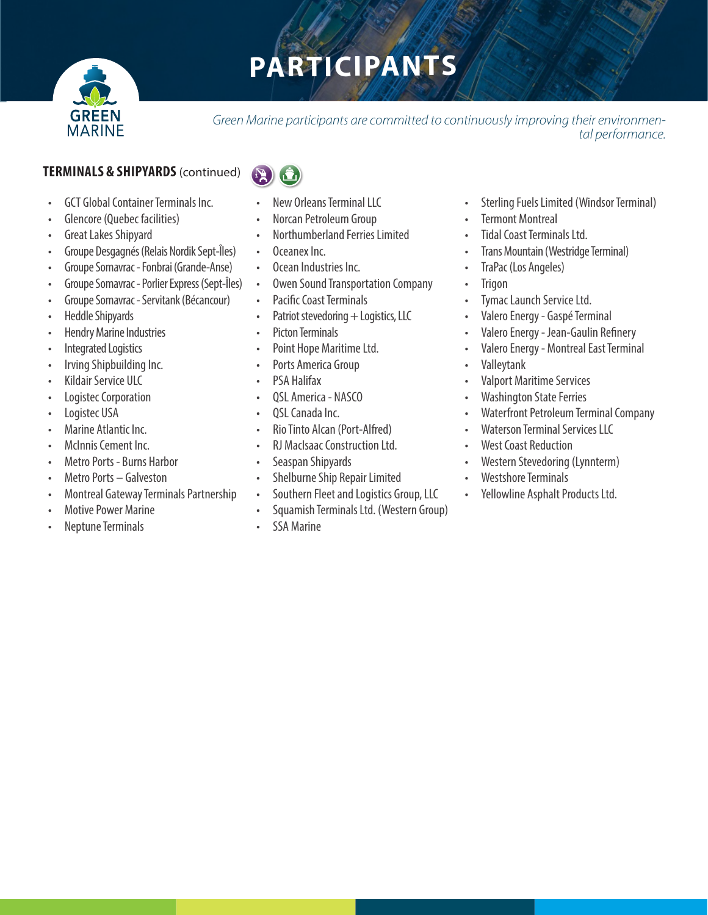

# **PARTICIPANTS**

*Green Marine participants are committed to continuously improving their environmental performance.* 

## **TERMINALS & SHIPYARDS**(continued)

- GCT Global Container Terminals Inc.
- Glencore (Quebec facilities)
- Great Lakes Shipyard
- Groupe Desgagnés (Relais Nordik Sept-Îles)
- Groupe Somavrac Fonbrai (Grande-Anse)
- Groupe Somavrac Porlier Express (Sept-Îles)
- Groupe Somavrac Servitank (Bécancour)
- Heddle Shipyards
- Hendry Marine Industries
- Integrated Logistics
- Irving Shipbuilding Inc.
- Kildair Service ULC
- Logistec Corporation
- Logistec USA
- Marine Atlantic Inc.
- McInnis Cement Inc.
- Metro Ports Burns Harbor
- Metro Ports Galveston
- Montreal Gateway Terminals Partnership
- Motive Power Marine
- Neptune Terminals
- 
- New Orleans Terminal LLC
- Norcan Petroleum Group
- Northumberland Ferries Limited
- Oceanex Inc.
- Ocean Industries Inc.
- Owen Sound Transportation Company
- Pacific Coast Terminals
- Patriot stevedoring  $+$  Logistics, LLC
- Picton Terminals
- Point Hope Maritime Ltd.
- Ports America Group
- PSA Halifax
- QSL America NASCO
- OSL Canada Inc.
- Rio Tinto Alcan (Port-Alfred)
- RJ MacIsaac Construction Ltd.
- Seaspan Shipyards
- Shelburne Ship Repair Limited
- Southern Fleet and Logistics Group, LLC
- Squamish Terminals Ltd. (Western Group)
- SSA Marine
- Sterling Fuels Limited (Windsor Terminal)
- **Termont Montreal**
- Tidal Coast Terminals Ltd.
- Trans Mountain (Westridge Terminal)
- TraPac (Los Angeles)
- Trigon
- Tymac Launch Service Ltd.
- Valero Energy Gaspé Terminal
- Valero Energy Jean-Gaulin Refinery
- Valero Energy Montreal East Terminal
- Valleytank
- Valport Maritime Services
- Washington State Ferries
- Waterfront Petroleum Terminal Company
- Waterson Terminal Services LLC
- West Coast Reduction
- Western Stevedoring (Lynnterm)
- Westshore Terminals
- Yellowline Asphalt Products Ltd.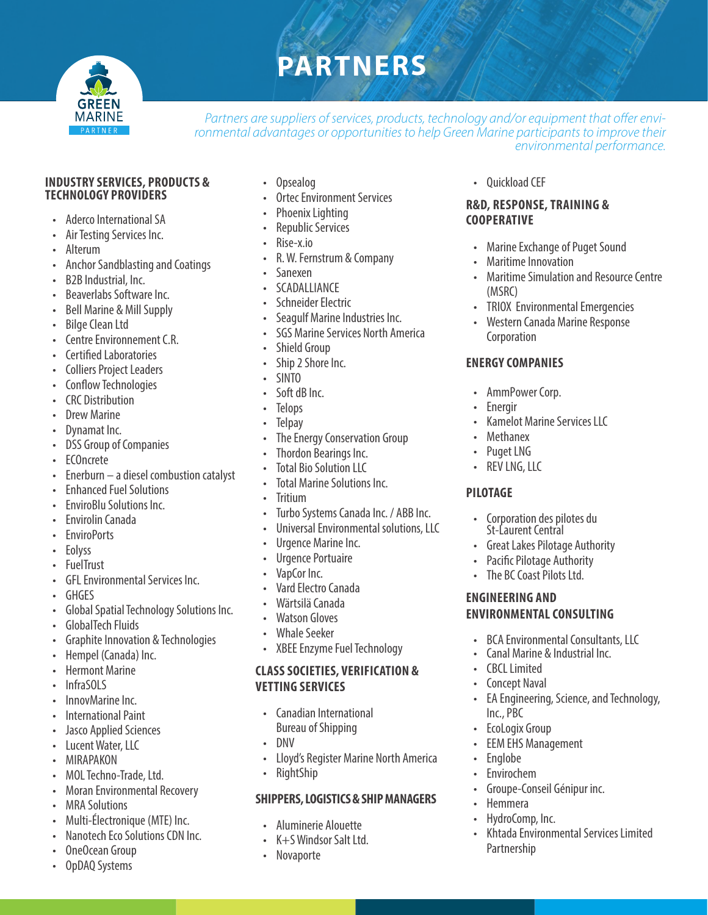

## **PARTNERS**

*Partners are suppliers of services, products, technology and/or equipment that offer environmental advantages or opportunities to help Green Marine participants to improve their environmental performance.*

#### **INDUSTRY SERVICES, PRODUCTS & TECHNOLOGY PROVIDERS**

- Aderco International SA
- Air Testing Services Inc.
- Alterum
- Anchor Sandblasting and Coatings
- B2B Industrial, Inc.
- Beaverlabs Software Inc.
- Bell Marine & Mill Supply
- Bilge Clean Ltd
- Centre Environnement C.R.
- Certified Laboratories
- Colliers Project Leaders
- Conflow Technologies
- CRC Distribution
- **Drew Marine**
- Dynamat Inc.
- DSS Group of Companies
- ECOncrete
- Enerburn a diesel combustion catalyst
- Enhanced Fuel Solutions
- EnviroBlu Solutions Inc.
- Envirolin Canada
- **EnviroPorts**
- Eolyss
- FuelTrust
- GFL Environmental Services Inc.
- GHGES
- Global Spatial Technology Solutions Inc.
- GlobalTech Fluids
- Graphite Innovation & Technologies
- Hempel (Canada) Inc.
- Hermont Marine
- InfraSOLS
- InnovMarine Inc.
- International Paint
- Jasco Applied Sciences
- Lucent Water, LLC
- MIRAPAKON
- MOL Techno-Trade, Ltd.
- Moran Environmental Recovery
- MRA Solutions
- Multi-Électronique (MTE) Inc.
- Nanotech Eco Solutions CDN Inc.
- OneOcean Group
- OpDAQ Systems
- Opsealog
- Ortec Environment Services
- Phoenix Lighting
- Republic Services
- Rise-x.io
- R. W. Fernstrum & Company
- Sanexen
- SCADALLIANCE
- Schneider Electric
- Seagulf Marine Industries Inc.
- SGS Marine Services North America
- Shield Group
- Ship 2 Shore Inc.
- SINTO
- Soft dB Inc.
- **Telops**
- **Telpay**
- The Energy Conservation Group
- Thordon Bearings Inc.
- **Total Bio Solution LLC**
- Total Marine Solutions Inc.
- **Tritium**
- Turbo Systems Canada Inc. / ABB Inc.
- Universal Environmental solutions, LLC
- Urgence Marine Inc.
- Urgence Portuaire
- VapCor Inc.
- Vard Electro Canada
- Wärtsilä Canada
- Watson Gloves
- Whale Seeker
- XBEE Enzyme Fuel Technology

#### **CLASS SOCIETIES, VERIFICATION & VETTING SERVICES**

- Canadian International Bureau of Shipping
- DNV
- Lloyd's Register Marine North America
- RightShip

#### **SHIPPERS, LOGISTICS & SHIP MANAGERS**

- Aluminerie Alouette
- K+S Windsor Salt Ltd.
- Novaporte

• Quickload CEF

#### **R&D, RESPONSE, TRAINING & COOPERATIVE**

- Marine Exchange of Puget Sound
- Maritime Innovation
- Maritime Simulation and Resource Centre (MSRC)
- TRIOX Environmental Emergencies
- Western Canada Marine Response Corporation

#### **ENERGY COMPANIES**

• AmmPower Corp.

• Methanex Puget LNG • REV LNG, LLC

**ENGINEERING AND** 

• CBCL Limited **Concept Naval** 

Inc., PBC **EcoLogix Group EEM EHS Management** 

• Englobe **Envirochem** 

• Hemmera • HydroComp, Inc.

Partnership

**Energir** 

**PILOTAGE**

• Kamelot Marine Services LLC

• Corporation des pilotes du St-Laurent Central

**ENVIRONMENTAL CONSULTING**

• Groupe-Conseil Génipur inc.

• BCA Environmental Consultants, LLC • Canal Marine & Industrial Inc.

• EA Engineering, Science, and Technology,

• Khtada Environmental Services Limited

• Great Lakes Pilotage Authority Pacific Pilotage Authority The BC Coast Pilots Ltd.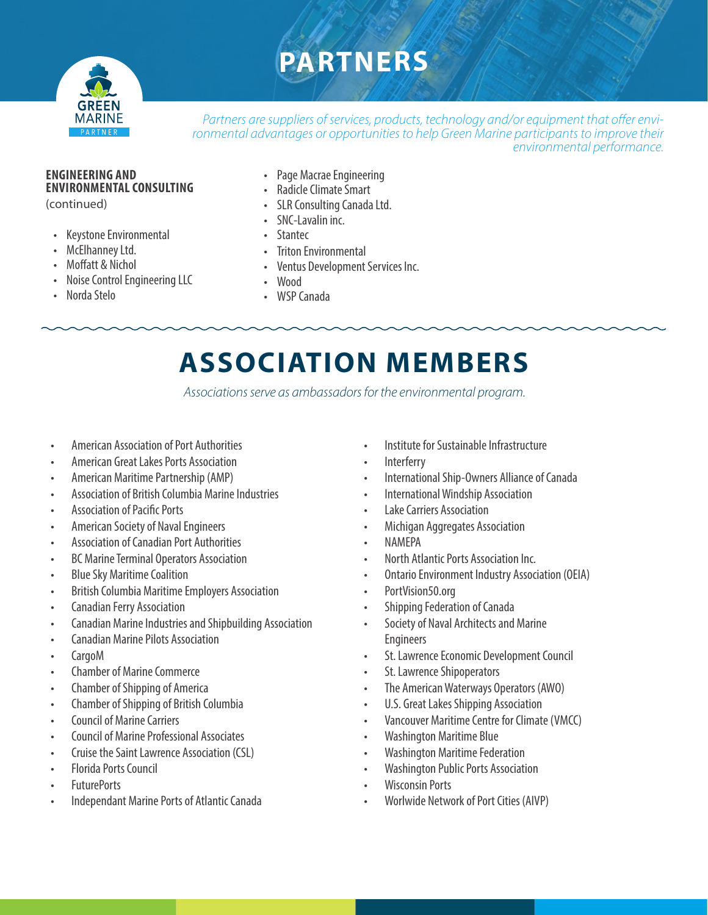## **PARTNERS**



*Partners are suppliers of services, products, technology and/or equipment that offer environmental advantages or opportunities to help Green Marine participants to improve their environmental performance.*

## **ENGINEERING AND ENVIRONMENTAL CONSULTING**

(continued)

- Keystone Environmental
- McElhanney Ltd.
- Moffatt & Nichol
- Noise Control Engineering LLC
- Norda Stelo
- Page Macrae Engineering
- Radicle Climate Smart
- SLR Consulting Canada Ltd.
- SNC-Lavalin inc.
- **Stantec**
- Triton Environmental
- Ventus Development Services Inc.
- Wood
- WSP Canada

## **ASSOCIATION MEMBERS**

*Associations serve as ambassadors for the environmental program.*

- American Association of Port Authorities
- American Great Lakes Ports Association
- American Maritime Partnership (AMP)
- Association of British Columbia Marine Industries
- Association of Pacific Ports
- American Society of Naval Engineers
- Association of Canadian Port Authorities
- BC Marine Terminal Operators Association
- Blue Sky Maritime Coalition
- British Columbia Maritime Employers Association
- Canadian Ferry Association
- Canadian Marine Industries and Shipbuilding Association
- Canadian Marine Pilots Association
- CargoM
- Chamber of Marine Commerce
- Chamber of Shipping of America
- Chamber of Shipping of British Columbia
- Council of Marine Carriers
- Council of Marine Professional Associates
- Cruise the Saint Lawrence Association (CSL)
- Florida Ports Council
- FuturePorts
- Independant Marine Ports of Atlantic Canada
- Institute for Sustainable Infrastructure
- **Interferry**
- International Ship-Owners Alliance of Canada
- International Windship Association
- Lake Carriers Association
- Michigan Aggregates Association
- NAMEPA
- North Atlantic Ports Association Inc.
- Ontario Environment Industry Association (OEIA)
- PortVision50.org
- Shipping Federation of Canada
- Society of Naval Architects and Marine Engineers
- St. Lawrence Economic Development Council
- St. Lawrence Shipoperators
- The American Waterways Operators (AWO)
- U.S. Great Lakes Shipping Association
- Vancouver Maritime Centre for Climate (VMCC)
- Washington Maritime Blue
- Washington Maritime Federation
- Washington Public Ports Association
- Wisconsin Ports
- Worlwide Network of Port Cities (AIVP)